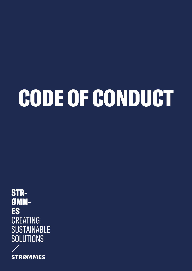# CODE OF CONDUCT

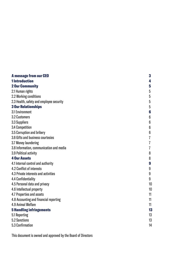| <b>A message from our CEO</b>            | 3              |
|------------------------------------------|----------------|
| <b>1</b> Introduction                    | 4              |
| <b>2 Our Community</b>                   | 5              |
| 2.1 Human rights                         | 5              |
| 2.2 Working conditions                   | $5\,$          |
| 2.3 Health, safety and employee security | 5              |
| <b>3 Our Relationships</b>               | $\overline{5}$ |
| 3.1 Environment                          | 6              |
| <b>3.2 Customers</b>                     | 6              |
| 3.3 Suppliers                            | 6              |
| 3.4 Competition                          | 6              |
| 3.5 Corruption and bribery               | 6              |
| 3.6 Gifts and business courtesies        | 7              |
| 3.7 Money laundering                     | 7              |
| 3.8 Information, communication and media | 7              |
| 3.9 Political activity                   | 8              |
| <b>4 Our Assets</b>                      | 8              |
| 4.1 Internal control and authority       | 9              |
| 4.2 Conflict of interests                | 9              |
| 4.3 Private interests and activities     | 9              |
| 4.4 Confidentiality                      | 9              |
| 4.5 Personal data and privacy            | 10             |
| 4.6 Intellectual property                | 10             |
| 4.7 Properties and assets                | 11             |
| 4.8 Accounting and financial reporting   | 11             |
| <b>4.9 Animal Welfare</b>                | 11             |
| <b>5 Handling infringements</b>          | 13             |
| 5.1 Reporting                            | 13             |
| 5.2 Sanctions                            | 13             |
| 5.3 Confirmation                         | 14             |

This document is owned and approved by the Board of Directors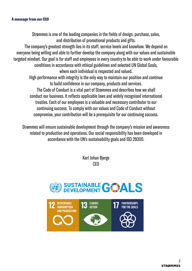### A message from our CEO

Strømmes is one of the leading companies in the fields of design, purchase, sales, and distribution of promotional products and gifts.

The company's greatest strength lies in its staff, service levels and knowhow. We depend on everyone being willing and able to further develop the company along with our values and sustainable targeted mindset. Our goal is for staff and employees in every country to be able to work under favourable conditions in accordance with ethical guidelines and selected UN Global Goals,

where each individual is respected and valued. High performance with integrity is the only way to maintain our position and continue to build confidence in our company, products and services.

The Code of Conduct is a vital part of Strømmes and describes how we shall conduct our business. It reflects applicable laws and widely recognised international treaties. Each of our employees is a valuable and necessary contributor to our continuing success. To comply with our values and Code of Conduct without compromise, your contribution will be a prerequisite for our continuing success.

Strømmes will ensure sustainable development through the company's mission and awareness related to production and operations. Our social responsibility has been developed in accordance with the UN's sustainability goals and ISO 26000.

> Karl Johan Bjerge CEO

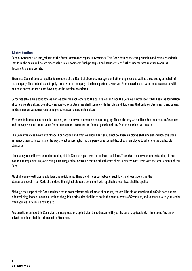### 1. Introduction

Code of Conduct is an integral part of the formal governance regime in Strømmes. This Code defines the core principles and ethical standards that form the basis on how we create value in our company. Such principles and standards are further incorporated in other governing documents as appropriate.

Strømmes Code of Conduct applies to members of the Board of directors, managers and other employees as well as those acting on behalf of the company. This Code does not apply directly to the company's business partners. However, Strømmes does not want to be associated with business partners that do not have appropriate ethical standards.

Corporate ethics are about how we behave towards each other and the outside world. Since the Code was introduced it has been the foundation of our corporate culture. Everybody associated with Strømmes shall comply with the rules and guidelines that build on Strømmes' basic values. In Strømmes we want everyone to help create a sound corporate culture.

 Whereas failure to perform can be excused, we can never compromise on our integrity. This is the way we shall conduct business in Strømmes and the way we shall create value for our customers, investors, staff and anyone benefiting from the services we provide.

The Code influences how we think about our actions and what we should and should not do. Every employee shall understand how this Code influences their daily work, and the ways to act accordingly. It is the personal responsibility of each employee to adhere to the applicable standards.

Line managers shall have an understanding of this Code as a platform for business decisions. They shall also have an understanding of their own role in implementing, overseeing, assessing and following-up that an ethical atmosphere is created consistent with the requirements of this Code.

We shall comply with applicable laws and regulations. There are differences between such laws and regulations and the standards set out in our Code of Conduct, the highest standard consistent with applicable local laws shall be applied.

Although the scope of this Code has been set to cover relevant ethical areas of conduct, there will be situations where this Code does not provide explicit guidance. In such situations the guiding principles shall be to act in the best interests of Strømmes, and to consult with your leader when you are in doubt as how to act.

Any questions on how this Code shall be interpreted or applied shall be addressed with your leader or applicable staff functions. Any unresolved questions shall be addressed to Strømmes.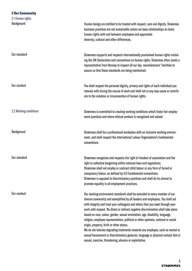### 2 Our Community 2.1 Human rights Background Our standard Our conduct 2.2 Working conditions Background Our standard Our conduct Human beings are entitled to be treated with respect, care and dignity. Strømmes business practices are not sustainable unless we base relationships on basic human rights with and between employees and appreciate diversity, cultural and other differences. Strømmes supports and respects internationally proclaimed human rights including the UN Declaration and conventions on human rights. Strømmes often sends a representative from Norway to inspect all our key manufacturers' facilities to assure us that these standards are being maintained. You shall respect the personal dignity, privacy and rights of each individual you interact with during the course of work and shall not in any way cause or contribute to the violation or circumvention of human rights. Strømmes is committed to creating working conditions which foster fair employment practices and where ethical conduct is recognized and valued. Strømmes shall be a professional workplace with an inclusive working environment, and shall respect the International Labour Organisation's fundamental conventions. Strømmes recognizes and respects the right to freedom of association and the right to collective bargaining within national laws and regulations. Strømmes shall not employ or contract child labour or any form of forced or compulsory labour, as defined by ILO fundamental conventions. Strømmes is opposed to discriminatory practices and shall do its utmost to promote equality in all employment practices. Our working environment standards shall be extended to every member of our diverse community and exemplified by all leaders and employees. You shall act with integrity and treat your colleagues and others that you meet through your work with respect. No direct or indirect negative discrimination shall take place based on race, colour, gender, sexual orientation, age, disability, language, religion, employee representation, political or other opinions, national or social origin, property, birth or other status. We do not tolerate degrading treatments towards any employee, such as mental or sexual harassment or discriminatory gestures, language or physical contact that is sexual, coercive, threatening, abusive or exploitative.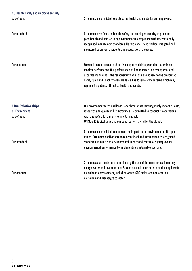### 2.3 Health, safety and employee security **Background**

Our standard

Our conduct

### 3 Our Relationships

3.1 Environment Background

Our standard

Our conduct

Strømmes is committed to protect the health and safety for our employees.

Strømmes have focus on health, safety and employee security to promote good health and safe working environment in compliance with internationally recognised management standards. Hazards shall be identified, mitigated and monitored to prevent accidents and occupational diseases.

We shall do our utmost to identify occupational risks, establish controls and monitor performance. Our performance will be reported in a transparent and accurate manner. It is the responsibility of all of us to adhere to the prescribed safety rules and to act by example as well as to raise any concerns which may represent a potential threat to health and safety.

Our environment faces challenges and threats that may negatively impact climate, resources and quality of life. Strømmes is committed to conduct its operations with due regard for our environmental impact. UN SDG 13 is vital to us and our contribution is vital for the planet.

Strømmes is committed to minimise the impact on the environment of its operations. Strømmes shall adhere to relevant local and internationally recognised standards, minimise its environmental impact and continuously improve its environmental performance by implementing sustainable sourcing.

Strømmes shall contribute to minimising the use of finite resources, including energy, water and raw materials. Strømmes shall contribute to minimising harmful emissions to environment, including waste, CO2 emissions and other air emissions and discharges to water.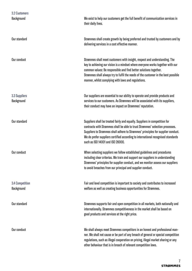| <b>3.2 Customers</b><br>Background | We exist to help our customers get the full benefit of communication services in<br>their daily lives.                                                                                                                                                                                                                                                                          |
|------------------------------------|---------------------------------------------------------------------------------------------------------------------------------------------------------------------------------------------------------------------------------------------------------------------------------------------------------------------------------------------------------------------------------|
| Our standard                       | Strømmes shall create growth by being preferred and trusted by customers and by<br>delivering services in a cost effective manner.                                                                                                                                                                                                                                              |
| Our conduct                        | Strømmes shall meet customers with insight, respect and understanding. The<br>key to achieving our vision is a mindset where everyone works together with our<br>common values: Be responsible and find better solutions together.<br>Strømmes shall always try to fulfil the needs of the customer in the best possible<br>manner, whilst complying with laws and regulations. |
| 3.3 Suppliers<br>Background        | Our suppliers are essential to our ability to operate and provide products and<br>services to our customers. As Strømmes will be associated with its suppliers,<br>their conduct may have an impact on Strømmes' reputation.                                                                                                                                                    |
| Our standard                       | Suppliers shall be treated fairly and equally. Suppliers in competition for<br>contracts with Strømmes shall be able to trust Strømmes' selection processes.<br>Suppliers to Strømmes shall adhere to Strømmes' principles for supplier conduct.<br>We do prefer suppliers certified according to international recognised standards<br>such as ISO 14001 and ISO 26000.        |
| Our conduct                        | When selecting suppliers we follow established guidelines and procedures<br>including clear criterias. We train and support our suppliers in understanding<br>Strømmes' principles for supplier conduct, and we monitor assess our suppliers<br>to avoid breaches from our principal and supplier conduct.                                                                      |
| 3.4 Competition<br>Background      | Fair and level competition is important to society and contributes to increased<br>welfare as well as creating business opportunities for Strømmes.                                                                                                                                                                                                                             |
| Our standard                       | Strømmes supports fair and open competition in all markets, both nationally and<br>internationally. Strømmes competitiveness in the market shall be based on<br>good products and services at the right price.                                                                                                                                                                  |
| Our conduct                        | We shall always meet Strømmes competitors in an honest and professional man-<br>ner. We shall not cause or be part of any breach of general or special competition<br>regulations, such as illegal cooperation on pricing, illegal market sharing or any<br>other behaviour that is in breach of relevant competition laws.                                                     |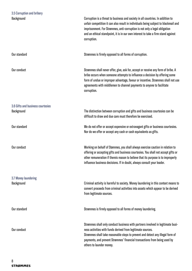| 3.5 Corruption and bribery                      |                                                                                                                                                                                                                                                                                                                                                          |
|-------------------------------------------------|----------------------------------------------------------------------------------------------------------------------------------------------------------------------------------------------------------------------------------------------------------------------------------------------------------------------------------------------------------|
| Background                                      | Corruption is a threat to business and society in all countries. In addition to<br>unfair competition it can also result in individuals being subject to blackmail and<br>imprisonment. For Strømmes, anti-corruption is not only a legal obligation<br>and an ethical standpoint, it is in our own interest to take a firm stand against<br>corruption. |
| Our standard                                    | Strømmes is firmly opposed to all forms of corruption.                                                                                                                                                                                                                                                                                                   |
| Our conduct                                     | Strømmes shall never offer, give, ask for, accept or receive any form of bribe. A<br>bribe occurs when someone attempts to influence a decision by offering some<br>form of undue or improper advantage, favour or incentive. Strømmes shall not use<br>agreements with middlemen to channel payments to anyone to facilitate<br>corruption.             |
| 3.6 Gifts and business courtesies<br>Background | The distinction between corruption and gifts and business courtesies can be<br>difficult to draw and due care must therefore be exercised.                                                                                                                                                                                                               |
| Our standard                                    | We do not offer or accept expensive or extravagant gifts or business courtesies.<br>Nor do we offer or accept any cash or cash equivalents as gifts.                                                                                                                                                                                                     |
| Our conduct                                     | Working on behalf of Stømmes, you shall always exercise caution in relation to<br>offering or accepting gifts and business courtesies. You shall not accept gifts or<br>other remuneration if thereis reason to believe that its purpose is to improperly<br>influence business decisions. If in doubt, always consult your leader.                      |
| 3.7 Money laundering<br>Background              | Criminal activity is harmful to society. Money laundering in this context means to<br>convert proceeds from criminal activities into assets which appear to be derived<br>from legitimate sources.                                                                                                                                                       |
| Our standard                                    | Strømmes is firmly opposed to all forms of money laundering.                                                                                                                                                                                                                                                                                             |
| Our conduct                                     | Strømmes shall only conduct business with partners involved in legitimate busi-<br>ness activities with funds derived from legitimate sources.<br>Strømmes shall take reasonable steps to prevent and detect any illegal form of<br>payments, and prevent Strømmes' financial transactions from being used by<br>others to launder money.                |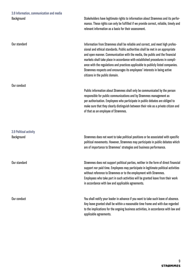### 3.8 Information, communication and media Background

Stakeholders have legitimate rights to information about Strømmes and its performance. These rights can only be fulfilled if we provide correct, reliable, timely and relevant information as a basis for their assessment.

Information from Strømmes shall be reliable and correct, and meet high professional and ethical standards. Public authorities shall be met in an appropriate and open manner. Communication with the media, the public and the financial markets shall take place in accordance with established procedures in compliance with the regulations and practices applicable to publicly listed companies. Strømmes respects and encourages its employees' interests in being active citizens in the public domain.

Public information about Strømmes shall only be communicated by the person responsible for public communications and by Strømmes management as per authorisation. Employees who participate in public debates are obliged to make sure that they clearly distinguish between their role as a private citizen and of that as an employee of Strømmes.

Strømmes does not want to take political positions or be associated with specific political movements. However, Strømmes may participate in public debates which are of importance to Strømmes' strategies and business performance.

Strømmes does not support political parties, neither in the form of direct financial support nor paid time. Employees may participate in legitimate political activities without reference to Strømmes or to the employment with Strømmes. Employees who take part in such activities will be granted leave from their work in accordance with law and applicable agreements.

You shall notify your leader in advance if you want to take such leave of absence. Any leave granted shall be within a reasonable time frame and with due regarded to the implications for the ongoing business activities, in accordance with law and applicable agreements.

## 3.9 Political activity

Our conduct

Our standard

Our conduct

**Background** 

Our standard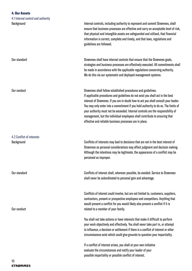### 4. Our Assets

| 4.1 Internal control and authority      |                                                                                                                                                                                                                                                                                                                                                                                                                                                                                                                                                          |
|-----------------------------------------|----------------------------------------------------------------------------------------------------------------------------------------------------------------------------------------------------------------------------------------------------------------------------------------------------------------------------------------------------------------------------------------------------------------------------------------------------------------------------------------------------------------------------------------------------------|
| Background                              | Internal controls, including authority to represent and commit Strømmes, shall<br>ensure that business processes are effective and carry an acceptable level of risk,<br>that physical and intangible assets are safeguarded and utilised, that financial<br>information is correct, complete and timely, and that laws, regulations and<br>guidelines are followed.                                                                                                                                                                                     |
| Our standard                            | Strømmes shall have internal controls that ensure that the Strømmes goals,<br>strategies and business processes are effectively executed. All commitments shall<br>be made in accordance with the applicable regulations concerning authority.<br>We do this via our systematic and deployed management systems.                                                                                                                                                                                                                                         |
| Our conduct                             | Strømmes shall follow established procedures and guidelines.<br>If applicable procedures and guidelines do not exist you shall act in the best<br>interest of Strømmes. If you are in doubt how to act you shall consult your leader.<br>You may only enter into a commitment if you hold authority to do so. The limits of<br>your authority must not be exceeded. Internal controls are the responsibility of<br>management, but the individual employees shall contribute to ensuring that<br>effective and reliable business processes are in place. |
| 4.2 Conflict of interests<br>Background | Conflicts of interests may lead to decisions that are not in the best interest of<br>Strømmes as personal considerations may affect judgment and decision making.<br>Although the intentions may be legitimate, the appearance of a conflict may be<br>perceived as improper.                                                                                                                                                                                                                                                                            |
| Our standard                            | Conflicts of interest shall, wherever possible, be avoided. Service to Strømmes<br>shall never be subordinated to personal gain and advantage.                                                                                                                                                                                                                                                                                                                                                                                                           |
| Our conduct                             | Conflicts of interest could involve, but are not limited to, customers, suppliers,<br>contractors, present or prospective employees and competitors. Anything that<br>would present a conflict for you would likely also present a conflict if it is<br>related to a member of your family.                                                                                                                                                                                                                                                              |
|                                         | You shall not take actions or have interests that make it difficult to perform<br>your work objectively and effectively. You shall never take part in, or attempt<br>to influence, a decision or settlement if there is a conflict of interest or other<br>circumstances exist which could give grounds to question your impartiality.                                                                                                                                                                                                                   |

If a conflict of interest arises, you shall at your own initiative evaluate the circumstances and notify your leader of your possible impartiality or possible conflict of interest.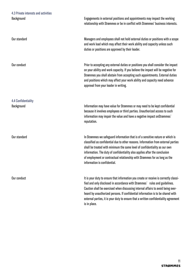Our standard

Our conduct

4.4 Confidentiality **Background** 

Our standard

Our conduct

Engagements in external positions and appointments may impact the working relationship with Strømmes or be in conflict with Strømmes' business interests.

Managers and employees shall not hold external duties or positions with a scope and work load which may affect their work ability and capacity unless such duties or positions are approved by their leader.

Prior to accepting any external duties or positions you shall consider the impact on your ability and work capacity. If you believe the impact will be negative for Strømmes you shall abstain from accepting such appointments. External duties and positions which may affect your work ability and capacity need advance approval from your leader in writing.

Information may have value for Strømmes or may need to be kept confidential because it involves employees or third parties. Unauthorized access to such information may impair the value and have a negative impact onStrømmes` reputation.

In Strømmes we safeguard information that is of a sensitive nature or which is classified as confidential due to other reasons. Information from external parties shall be treated with minimum the same level of confidentiality as our own information. The duty of confidentiality also applies after the conclusion of employment or contractual relationship with Strømmes for as long as the information is confidential.

It is your duty to ensure that information you create or receive is correctly classified and only disclosed in accordance with Strømmes` rules and guidelines. Caution shall be exercised when discussing internal affairs to avoid being overheard by unauthorized persons. If confidential information is to be shared with external parties, it is your duty to ensure that a written confidentiality agreement is in place.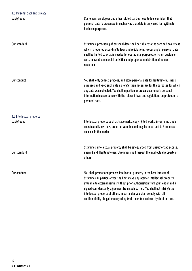| Background                              | Customers, employees and other related parties need to feel confident that<br>personal data is processed in such a way that data is only used for legitimate<br>business purposes.                                                                                                                                                                                                                                                                                                               |
|-----------------------------------------|--------------------------------------------------------------------------------------------------------------------------------------------------------------------------------------------------------------------------------------------------------------------------------------------------------------------------------------------------------------------------------------------------------------------------------------------------------------------------------------------------|
| Our standard                            | Strømmes' processing of personal data shall be subject to the care and awareness<br>which is required according to laws and regulations. Processing of personal data<br>shall be limited to what is needed for operational purposes, efficient customer<br>care, relevant commercial activities and proper administration of human<br>resources.                                                                                                                                                 |
| Our conduct                             | You shall only collect, process, and store personal data for legitimate business<br>purposes and keep such data no longer than necessary for the purposes for which<br>any data was collected. You shall in particular process customer's personal<br>information in accordance with the relevant laws and regulations on protection of<br>personal data.                                                                                                                                        |
| 4.6 Intellectual property<br>Background | Intellectual property such as trademarks, copyrighted works, inventions, trade<br>secrets and know-how, are often valuable and may be important to Strømmes'<br>success in the market.                                                                                                                                                                                                                                                                                                           |
| Our standard                            | Strømmes' intellectual property shall be safeguarded from unauthorized access,<br>sharing and illegitimate use. Strømmes shall respect the intellectual property of<br>others.                                                                                                                                                                                                                                                                                                                   |
| Our conduct                             | You shall protect and process intellectual property in the best interest of<br>Strømmes. In particular you shall not make unprotected intellectual property<br>available to external parties without prior authorization from your leader and a<br>signed confidentiality agreement from such parties. You shall not infringe the<br>intellectual property of others. In particular you shall comply with all<br>confidentiality obligations regarding trade secrets disclosed by third parties. |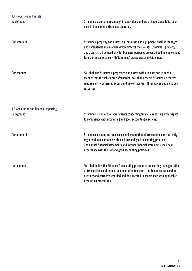| 4.7 Properties and assets<br>Background              | Strømmes' assets represent significant values and are of importance to its suc-<br>cess in the markets Strømmes operates.                                                                                                                                                                                           |
|------------------------------------------------------|---------------------------------------------------------------------------------------------------------------------------------------------------------------------------------------------------------------------------------------------------------------------------------------------------------------------|
| Our standard                                         | Strømmes' property and assets, e.g. buildings and equipment, shall be managed<br>and safeguarded in a manner which protects their values. Strømmes' property<br>and assets shall be used only for business purposes unless agreed in employment<br>terms or in compliance with Strømmes' procedures and guidelines. |
| Our conduct                                          | You shall use Strømmes' properties and assets with due care and in such a<br>manner that the values are safeguarded. You shall observe Strømmes' security<br>requirements concerning access and use of facilities, IT resources and electronic<br>resources.                                                        |
| 4.8 Accounting and financial reporting<br>Background | Strømmes is subject to requirements concerning financial reporting with respect<br>to compliance with accounting and good accounting practices.                                                                                                                                                                     |
| Our standard                                         | Strømmes' accounting processes shall ensure that all transactions are correctly<br>registered in accordance with local law and good accounting practices.<br>The annual financial statements and interim financial statements shall be in<br>accordance with the law and good accounting practices.                 |
| Our conduct                                          | You shall follow the Strømmes' accounting procedures concerning the registration<br>of transactions and proper documentation to ensure that business transactions<br>are fully and correctly recorded and documented in accordance with applicable<br>accounting procedures.                                        |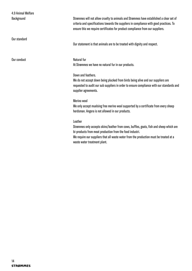Our standard

Our conduct

Strømmes will not allow cruelty to animals and Strømmes have established a clear set of criteria and specifications towards the suppliers in compliance with good practices. To ensure this we require certificates for product compliance from our suppliers.

Our statement is that animals are to be treated with dignity and respect.

Natural fur

At Strømmes we have no natural fur in our products.

### Down and feathers.

We do not accept down being plucked from birds being alive and our suppliers are requested to audit our sub suppliers in order to ensure compliance with our standards and supplier agreements.

Merino wool

We only accept muelsing free merino wool supported by a certificate from every sheep herdsman. Angora is not allowed in our products.

#### Leather

Strømmes only accepts skins/leather from cows, buffles, goats, fish and sheep which are bi-products from meat production from the food industri.

We require our suppliers that all waste water from the production must be treated at a waste water treatment plant.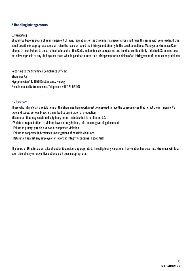### 5 Handling infringements

### 5.1 Reporting

Should you become aware of an infringement of laws, regulations or the Strømmes framework, you shall raise this issue with your leader. If this is not possible or appropriate you shall raise the issue or report the infringement directly to the Local Compliance Manager or Strømmes Compliance Officer. Failure to do so is itself a breach of this Code. Incidents may be reported and handled confidentially if desired. Strømmes does not allow reprisals of any kind against those who, in good faith, report an infringement or suspicion of an infringement of the rules or guidelines.

Reporting to the Strømmes Compliance Officer: Strømmes AS Rigetjønnveien 14, 4626 Kristiansand, Norway E-mail: michael@strommes.no, Telephone: +47 924 65 407

### 5.2 Sanctions

Those who infringe laws, regulations or the Strømmes framework must be prepared to face the consequences that reflect the infringement's type and scope. Serious breaches may lead to termination of production.

Misconduct that may result in disciplinary action includes (but is not limited to):

- Violate or request others to violate, laws and regulations, this Code or governing documents
- Failure to promptly raise a known or suspected violation
- Failure to cooperate in Strømmes investigations of possible violations
- Retaliation against any employee for reporting integrity concerns in good faith

The Board of Directors shall take all action it considers appropriate to investigate any violations. If a violation has occurred, Strømmes will take such disciplinary or preventive actions, as it deems appropriate.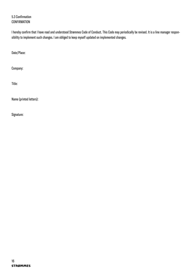5.3 Confirmation **CONFIRMATION** 

I hereby confirm that I have read and understood Strømmes Code of Conduct. This Code may periodically be revised. It is a line manager responsibility to implement such changes. I am obliged to keep myself updated on implemented changes.

Date/Place:

Company:

Title:

Name (printed letters):

Signature: